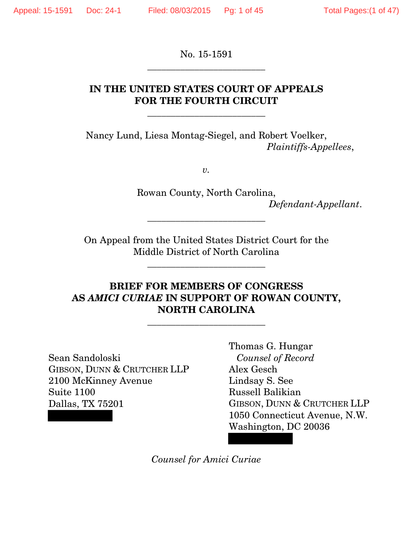No. 15-1591 \_\_\_\_\_\_\_\_\_\_\_\_\_\_\_\_\_\_\_\_\_\_\_\_\_

## **IN THE UNITED STATES COURT OF APPEALS FOR THE FOURTH CIRCUIT**

\_\_\_\_\_\_\_\_\_\_\_\_\_\_\_\_\_\_\_\_\_\_\_\_\_

Nancy Lund, Liesa Montag-Siegel, and Robert Voelker, *Plaintiffs-Appellees*,

*v.* 

Rowan County, North Carolina, *Defendant-Appellant*.

On Appeal from the United States District Court for the Middle District of North Carolina

\_\_\_\_\_\_\_\_\_\_\_\_\_\_\_\_\_\_\_\_\_\_\_\_\_

\_\_\_\_\_\_\_\_\_\_\_\_\_\_\_\_\_\_\_\_\_\_\_\_\_

## **BRIEF FOR MEMBERS OF CONGRESS AS** *AMICI CURIAE* **IN SUPPORT OF ROWAN COUNTY, NORTH CAROLINA**

\_\_\_\_\_\_\_\_\_\_\_\_\_\_\_\_\_\_\_\_\_\_\_\_\_

Sean Sandoloski GIBSON, DUNN & CRUTCHER LLP 2100 McKinney Avenue Suite 1100 Dallas, TX 75201

Thomas G. Hungar *Counsel of Record* Alex Gesch Lindsay S. See Russell Balikian GIBSON, DUNN & CRUTCHER LLP 1050 Connecticut Avenue, N.W. Washington, DC 20036

*Counsel for Amici Curiae*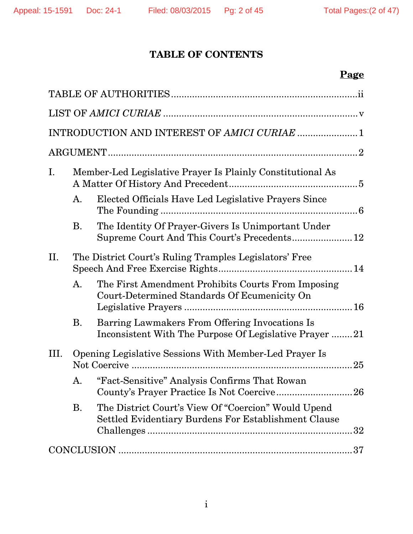## **TABLE OF CONTENTS**

# **Page**

|      | INTRODUCTION AND INTEREST OF AMICI CURIAE  1                                                                |
|------|-------------------------------------------------------------------------------------------------------------|
|      |                                                                                                             |
| Ι.   | Member-Led Legislative Prayer Is Plainly Constitutional As                                                  |
| A.   | Elected Officials Have Led Legislative Prayers Since                                                        |
| B.   | The Identity Of Prayer-Givers Is Unimportant Under<br>Supreme Court And This Court's Precedents 12          |
| II.  | The District Court's Ruling Tramples Legislators' Free                                                      |
| A.   | The First Amendment Prohibits Courts From Imposing<br>Court-Determined Standards Of Ecumenicity On          |
| В.   | Barring Lawmakers From Offering Invocations Is<br>Inconsistent With The Purpose Of Legislative Prayer 21    |
| III. | Opening Legislative Sessions With Member-Led Prayer Is                                                      |
| A.   | "Fact-Sensitive" Analysis Confirms That Rowan                                                               |
| Β.   | The District Court's View Of "Coercion" Would Upend<br>Settled Evidentiary Burdens For Establishment Clause |
|      |                                                                                                             |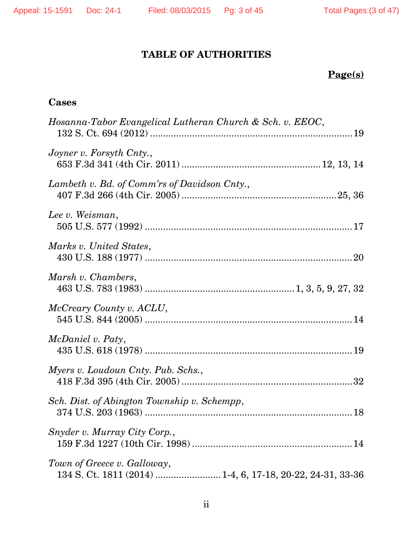## **TABLE OF AUTHORITIES**

# **Page(s)**

## **Cases**

| Hosanna-Tabor Evangelical Lutheran Church & Sch. v. EEOC, |
|-----------------------------------------------------------|
| Joyner v. Forsyth Cnty.,                                  |
| Lambeth v. Bd. of Comm'rs of Davidson Cnty.,              |
| Lee v. Weisman,                                           |
| Marks v. United States,                                   |
| Marsh v. Chambers,                                        |
| McCreary County v. ACLU,                                  |
| <i>McDaniel v. Paty,</i>                                  |
| Myers v. Loudoun Cnty. Pub. Schs.,                        |
| Sch. Dist. of Abington Township v. Schempp,               |
| Snyder v. Murray City Corp.,                              |
| Town of Greece v. Galloway,                               |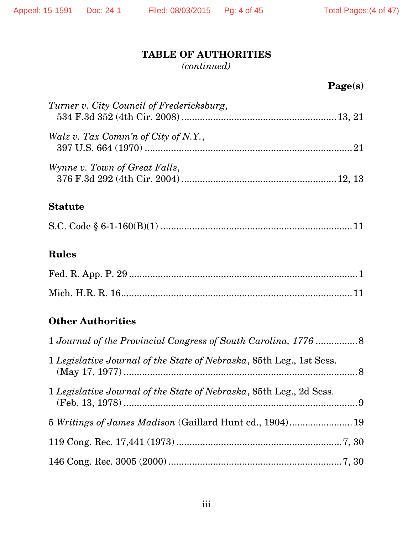## **TABLE OF AUTHORITIES**

*(continued)* 

## **Page(s)**

| Turner v. City Council of Fredericksburg, |  |
|-------------------------------------------|--|
| Walz v. Tax Comm'n of City of N.Y.,       |  |
| Wynne v. Town of Great Falls,             |  |
| <b>Statute</b>                            |  |
|                                           |  |

## **Rules**

## **Other Authorities**

| 1 Legislative Journal of the State of Nebraska, 85th Leg., 1st Sess. |  |
|----------------------------------------------------------------------|--|
| 1 Legislative Journal of the State of Nebraska, 85th Leg., 2d Sess.  |  |
| 5 Writings of James Madison (Gaillard Hunt ed., 1904) 19             |  |
|                                                                      |  |
|                                                                      |  |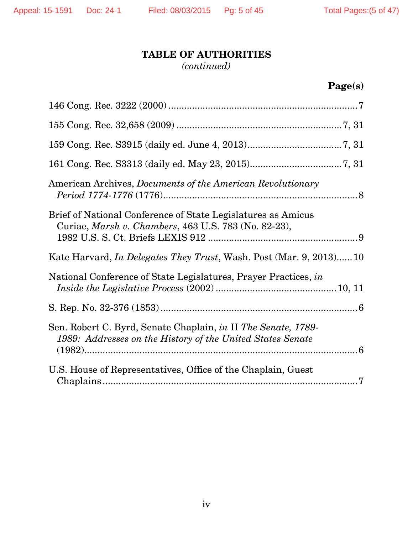# **TABLE OF AUTHORITIES**

*(continued)* 

# **Page(s)**

| American Archives, <i>Documents of the American Revolutionary</i>                                                           |
|-----------------------------------------------------------------------------------------------------------------------------|
| Brief of National Conference of State Legislatures as Amicus<br>Curiae, Marsh v. Chambers, 463 U.S. 783 (No. 82-23),        |
| Kate Harvard, <i>In Delegates They Trust</i> , Wash. Post (Mar. 9, 2013) 10                                                 |
| National Conference of State Legislatures, Prayer Practices, in                                                             |
|                                                                                                                             |
| Sen. Robert C. Byrd, Senate Chaplain, in II The Senate, 1789-<br>1989: Addresses on the History of the United States Senate |
| U.S. House of Representatives, Office of the Chaplain, Guest                                                                |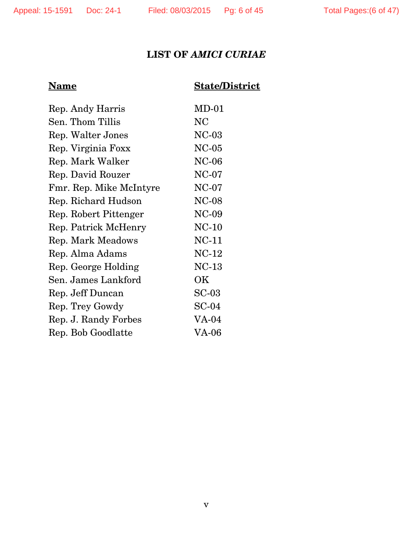# **LIST OF** *AMICI CURIAE*

## **Name State/District**

| Rep. Andy Harris        | $MD-01$      |
|-------------------------|--------------|
| Sen. Thom Tillis        | NC           |
| Rep. Walter Jones       | $NC-03$      |
| Rep. Virginia Foxx      | $NC-05$      |
| Rep. Mark Walker        | $NC-06$      |
| Rep. David Rouzer       | $NC-07$      |
| Fmr. Rep. Mike McIntyre | $NC-07$      |
| Rep. Richard Hudson     | <b>NC-08</b> |
| Rep. Robert Pittenger   | $NC-09$      |
| Rep. Patrick McHenry    | $NC-10$      |
| Rep. Mark Meadows       | $NC-11$      |
| Rep. Alma Adams         | $NC-12$      |
| Rep. George Holding     | $NC-13$      |
| Sen. James Lankford     | ΟK           |
| Rep. Jeff Duncan        | $SC-03$      |
| Rep. Trey Gowdy         | $SC-04$      |
| Rep. J. Randy Forbes    | VA-04        |
| Rep. Bob Goodlatte      | VA-06        |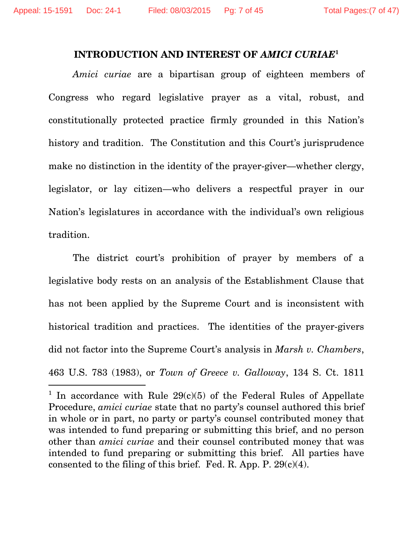$\overline{a}$ 

#### **INTRODUCTION AND INTEREST OF** *AMICI CURIAE***<sup>1</sup>**

*Amici curiae* are a bipartisan group of eighteen members of Congress who regard legislative prayer as a vital, robust, and constitutionally protected practice firmly grounded in this Nation's history and tradition. The Constitution and this Court's jurisprudence make no distinction in the identity of the prayer-giver—whether clergy, legislator, or lay citizen—who delivers a respectful prayer in our Nation's legislatures in accordance with the individual's own religious tradition.

The district court's prohibition of prayer by members of a legislative body rests on an analysis of the Establishment Clause that has not been applied by the Supreme Court and is inconsistent with historical tradition and practices. The identities of the prayer-givers did not factor into the Supreme Court's analysis in *Marsh v. Chambers*, 463 U.S. 783 (1983), or *Town of Greece v. Galloway*, 134 S. Ct. 1811

<sup>&</sup>lt;sup>1</sup> In accordance with Rule  $29(c)(5)$  of the Federal Rules of Appellate Procedure, *amici curiae* state that no party's counsel authored this brief in whole or in part, no party or party's counsel contributed money that was intended to fund preparing or submitting this brief, and no person other than *amici curiae* and their counsel contributed money that was intended to fund preparing or submitting this brief. All parties have consented to the filing of this brief. Fed. R. App. P.  $29(c)(4)$ .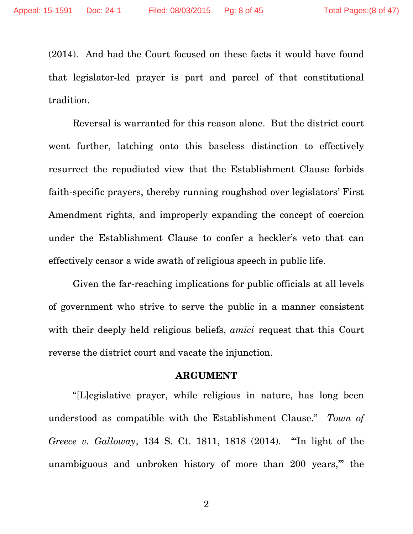(2014). And had the Court focused on these facts it would have found that legislator-led prayer is part and parcel of that constitutional tradition.

Reversal is warranted for this reason alone. But the district court went further, latching onto this baseless distinction to effectively resurrect the repudiated view that the Establishment Clause forbids faith-specific prayers, thereby running roughshod over legislators' First Amendment rights, and improperly expanding the concept of coercion under the Establishment Clause to confer a heckler's veto that can effectively censor a wide swath of religious speech in public life.

Given the far-reaching implications for public officials at all levels of government who strive to serve the public in a manner consistent with their deeply held religious beliefs, *amici* request that this Court reverse the district court and vacate the injunction.

#### **ARGUMENT**

"[L]egislative prayer, while religious in nature, has long been understood as compatible with the Establishment Clause." *Town of Greece v. Galloway*, 134 S. Ct. 1811, 1818 (2014). "'In light of the unambiguous and unbroken history of more than 200 years,'" the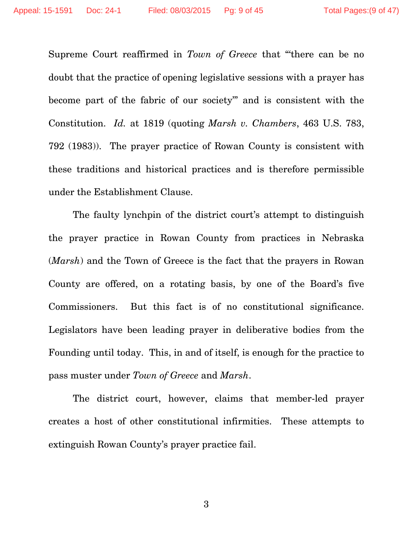Supreme Court reaffirmed in *Town of Greece* that "'there can be no doubt that the practice of opening legislative sessions with a prayer has become part of the fabric of our society'" and is consistent with the Constitution. *Id.* at 1819 (quoting *Marsh v. Chambers*, 463 U.S. 783, 792 (1983)). The prayer practice of Rowan County is consistent with these traditions and historical practices and is therefore permissible under the Establishment Clause.

The faulty lynchpin of the district court's attempt to distinguish the prayer practice in Rowan County from practices in Nebraska (*Marsh*) and the Town of Greece is the fact that the prayers in Rowan County are offered, on a rotating basis, by one of the Board's five Commissioners. But this fact is of no constitutional significance. Legislators have been leading prayer in deliberative bodies from the Founding until today. This, in and of itself, is enough for the practice to pass muster under *Town of Greece* and *Marsh*.

The district court, however, claims that member-led prayer creates a host of other constitutional infirmities. These attempts to extinguish Rowan County's prayer practice fail.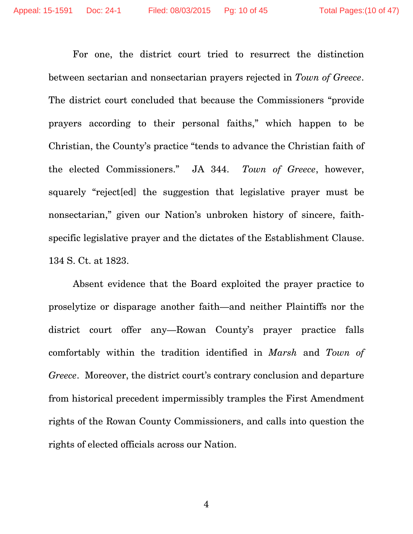For one, the district court tried to resurrect the distinction between sectarian and nonsectarian prayers rejected in *Town of Greece*. The district court concluded that because the Commissioners "provide prayers according to their personal faiths," which happen to be Christian, the County's practice "tends to advance the Christian faith of the elected Commissioners." JA 344. *Town of Greece*, however, squarely "reject[ed] the suggestion that legislative prayer must be nonsectarian," given our Nation's unbroken history of sincere, faithspecific legislative prayer and the dictates of the Establishment Clause. 134 S. Ct. at 1823.

Absent evidence that the Board exploited the prayer practice to proselytize or disparage another faith—and neither Plaintiffs nor the district court offer any—Rowan County's prayer practice falls comfortably within the tradition identified in *Marsh* and *Town of Greece*. Moreover, the district court's contrary conclusion and departure from historical precedent impermissibly tramples the First Amendment rights of the Rowan County Commissioners, and calls into question the rights of elected officials across our Nation.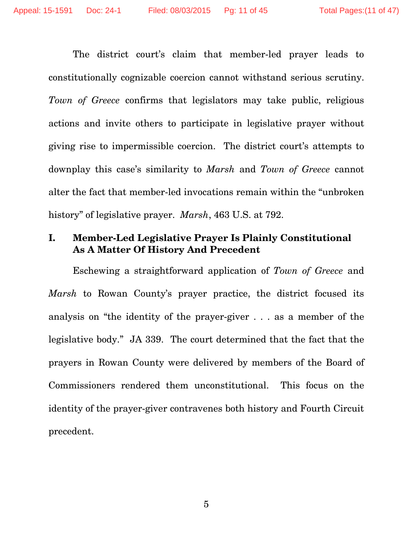The district court's claim that member-led prayer leads to constitutionally cognizable coercion cannot withstand serious scrutiny. *Town of Greece* confirms that legislators may take public, religious actions and invite others to participate in legislative prayer without giving rise to impermissible coercion. The district court's attempts to downplay this case's similarity to *Marsh* and *Town of Greece* cannot alter the fact that member-led invocations remain within the "unbroken history" of legislative prayer. *Marsh*, 463 U.S. at 792.

## **I. Member-Led Legislative Prayer Is Plainly Constitutional As A Matter Of History And Precedent**

Eschewing a straightforward application of *Town of Greece* and *Marsh* to Rowan County's prayer practice, the district focused its analysis on "the identity of the prayer-giver . . . as a member of the legislative body." JA 339. The court determined that the fact that the prayers in Rowan County were delivered by members of the Board of Commissioners rendered them unconstitutional. This focus on the identity of the prayer-giver contravenes both history and Fourth Circuit precedent.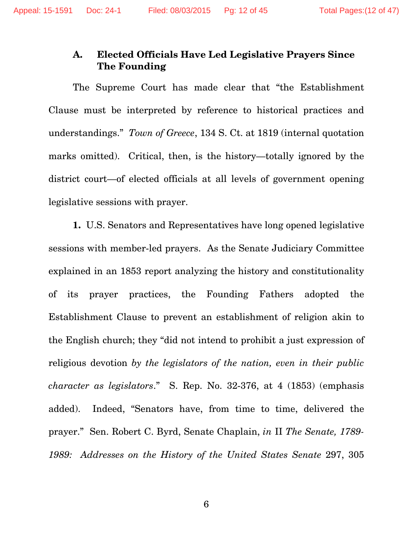## **A. Elected Officials Have Led Legislative Prayers Since The Founding**

The Supreme Court has made clear that "the Establishment Clause must be interpreted by reference to historical practices and understandings." *Town of Greece*, 134 S. Ct. at 1819 (internal quotation marks omitted). Critical, then, is the history—totally ignored by the district court—of elected officials at all levels of government opening legislative sessions with prayer.

**1.** U.S. Senators and Representatives have long opened legislative sessions with member-led prayers. As the Senate Judiciary Committee explained in an 1853 report analyzing the history and constitutionality of its prayer practices, the Founding Fathers adopted the Establishment Clause to prevent an establishment of religion akin to the English church; they "did not intend to prohibit a just expression of religious devotion *by the legislators of the nation, even in their public character as legislators*." S. Rep. No. 32-376, at 4 (1853) (emphasis added). Indeed, "Senators have, from time to time, delivered the prayer." Sen. Robert C. Byrd, Senate Chaplain, *in* II *The Senate, 1789- 1989: Addresses on the History of the United States Senate* 297, 305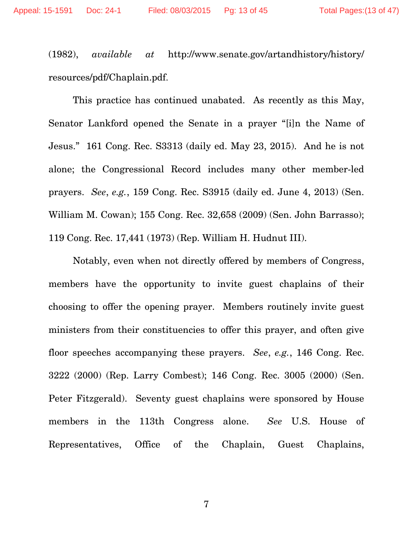(1982), *available at* http://www.senate.gov/artandhistory/history/ resources/pdf/Chaplain.pdf.

This practice has continued unabated. As recently as this May, Senator Lankford opened the Senate in a prayer "[i]n the Name of Jesus." 161 Cong. Rec. S3313 (daily ed. May 23, 2015). And he is not alone; the Congressional Record includes many other member-led prayers. *See*, *e.g.*, 159 Cong. Rec. S3915 (daily ed. June 4, 2013) (Sen. William M. Cowan); 155 Cong. Rec. 32,658 (2009) (Sen. John Barrasso); 119 Cong. Rec. 17,441 (1973) (Rep. William H. Hudnut III).

Notably, even when not directly offered by members of Congress, members have the opportunity to invite guest chaplains of their choosing to offer the opening prayer. Members routinely invite guest ministers from their constituencies to offer this prayer, and often give floor speeches accompanying these prayers. *See*, *e.g.*, 146 Cong. Rec. 3222 (2000) (Rep. Larry Combest); 146 Cong. Rec. 3005 (2000) (Sen. Peter Fitzgerald). Seventy guest chaplains were sponsored by House members in the 113th Congress alone. *See* U.S. House of Representatives, Office of the Chaplain, Guest Chaplains,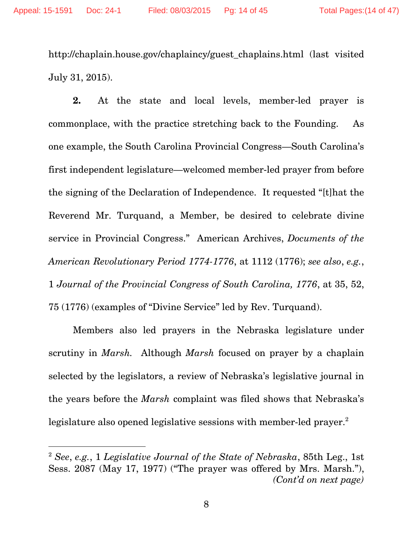http://chaplain.house.gov/chaplaincy/guest\_chaplains.html (last visited July 31, 2015).

**2.** At the state and local levels, member-led prayer is commonplace, with the practice stretching back to the Founding. As one example, the South Carolina Provincial Congress—South Carolina's first independent legislature—welcomed member-led prayer from before the signing of the Declaration of Independence. It requested "[t]hat the Reverend Mr. Turquand, a Member, be desired to celebrate divine service in Provincial Congress." American Archives, *Documents of the American Revolutionary Period 1774-1776*, at 1112 (1776); *see also*, *e.g.*, 1 *Journal of the Provincial Congress of South Carolina, 1776*, at 35, 52, 75 (1776) (examples of "Divine Service" led by Rev. Turquand).

Members also led prayers in the Nebraska legislature under scrutiny in *Marsh.* Although *Marsh* focused on prayer by a chaplain selected by the legislators, a review of Nebraska's legislative journal in the years before the *Marsh* complaint was filed shows that Nebraska's legislature also opened legislative sessions with member-led prayer.<sup>2</sup>

-

<sup>2</sup> *See*, *e.g.*, 1 *Legislative Journal of the State of Nebraska*, 85th Leg., 1st Sess. 2087 (May 17, 1977) ("The prayer was offered by Mrs. Marsh."), *(Cont'd on next page)*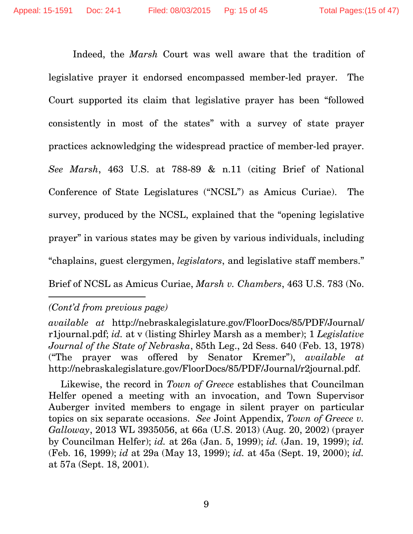Indeed, the *Marsh* Court was well aware that the tradition of legislative prayer it endorsed encompassed member-led prayer. The Court supported its claim that legislative prayer has been "followed consistently in most of the states" with a survey of state prayer practices acknowledging the widespread practice of member-led prayer. *See Marsh*, 463 U.S. at 788-89 & n.11 (citing Brief of National Conference of State Legislatures ("NCSL") as Amicus Curiae). The survey, produced by the NCSL, explained that the "opening legislative prayer" in various states may be given by various individuals, including "chaplains, guest clergymen, *legislators*, and legislative staff members."

Brief of NCSL as Amicus Curiae, *Marsh v. Chambers*, 463 U.S. 783 (No.

## *(Cont'd from previous page)*

-

*available at* http://nebraskalegislature.gov/FloorDocs/85/PDF/Journal/ r1journal.pdf; *id.* at v (listing Shirley Marsh as a member); 1 *Legislative Journal of the State of Nebraska*, 85th Leg., 2d Sess. 640 (Feb. 13, 1978) ("The prayer was offered by Senator Kremer"), *available at*  http://nebraskalegislature.gov/FloorDocs/85/PDF/Journal/r2journal.pdf.

Likewise, the record in *Town of Greece* establishes that Councilman Helfer opened a meeting with an invocation, and Town Supervisor Auberger invited members to engage in silent prayer on particular topics on six separate occasions. *See* Joint Appendix, *Town of Greece v. Galloway*, 2013 WL 3935056, at 66a (U.S. 2013) (Aug. 20, 2002) (prayer by Councilman Helfer); *id.* at 26a (Jan. 5, 1999); *id.* (Jan. 19, 1999); *id.* (Feb. 16, 1999); *id* at 29a (May 13, 1999); *id.* at 45a (Sept. 19, 2000); *id.*  at 57a (Sept. 18, 2001).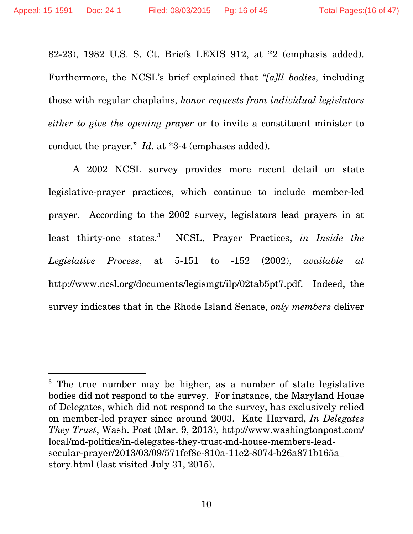$\overline{a}$ 

82-23), 1982 U.S. S. Ct. Briefs LEXIS 912, at \*2 (emphasis added). Furthermore, the NCSL's brief explained that "*[a]ll bodies,* including those with regular chaplains, *honor requests from individual legislators either to give the opening prayer* or to invite a constituent minister to conduct the prayer." *Id.* at \*3-4 (emphases added).

A 2002 NCSL survey provides more recent detail on state legislative-prayer practices, which continue to include member-led prayer. According to the 2002 survey, legislators lead prayers in at least thirty-one states.<sup>3</sup> NCSL, Prayer Practices, *in Inside the Legislative Process*, at 5-151 to -152 (2002), *available at*  http://www.ncsl.org/documents/legismgt/ilp/02tab5pt7.pdf. Indeed, the survey indicates that in the Rhode Island Senate, *only members* deliver

<sup>&</sup>lt;sup>3</sup> The true number may be higher, as a number of state legislative bodies did not respond to the survey. For instance, the Maryland House of Delegates, which did not respond to the survey, has exclusively relied on member-led prayer since around 2003. Kate Harvard, *In Delegates They Trust*, Wash. Post (Mar. 9, 2013), http://www.washingtonpost.com/ local/md-politics/in-delegates-they-trust-md-house-members-leadsecular-prayer/2013/03/09/571fef8e-810a-11e2-8074-b26a871b165a\_ story.html (last visited July 31, 2015).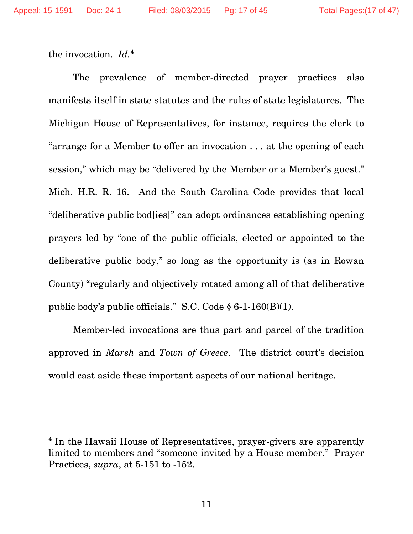-

the invocation. *Id.*4

The prevalence of member-directed prayer practices also manifests itself in state statutes and the rules of state legislatures. The Michigan House of Representatives, for instance, requires the clerk to "arrange for a Member to offer an invocation . . . at the opening of each session," which may be "delivered by the Member or a Member's guest." Mich. H.R. R. 16. And the South Carolina Code provides that local "deliberative public bod[ies]" can adopt ordinances establishing opening prayers led by "one of the public officials, elected or appointed to the deliberative public body," so long as the opportunity is (as in Rowan County) "regularly and objectively rotated among all of that deliberative public body's public officials." S.C. Code § 6-1-160(B)(1).

Member-led invocations are thus part and parcel of the tradition approved in *Marsh* and *Town of Greece*. The district court's decision would cast aside these important aspects of our national heritage.

<sup>&</sup>lt;sup>4</sup> In the Hawaii House of Representatives, prayer-givers are apparently limited to members and "someone invited by a House member." Prayer Practices, *supra*, at 5-151 to -152.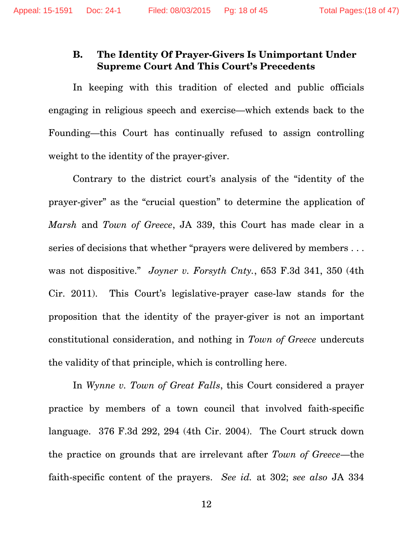### **B. The Identity Of Prayer-Givers Is Unimportant Under Supreme Court And This Court's Precedents**

In keeping with this tradition of elected and public officials engaging in religious speech and exercise—which extends back to the Founding—this Court has continually refused to assign controlling weight to the identity of the prayer-giver.

Contrary to the district court's analysis of the "identity of the prayer-giver" as the "crucial question" to determine the application of *Marsh* and *Town of Greece*, JA 339, this Court has made clear in a series of decisions that whether "prayers were delivered by members . . . was not dispositive." *Joyner v. Forsyth Cnty.*, 653 F.3d 341, 350 (4th Cir. 2011). This Court's legislative-prayer case-law stands for the proposition that the identity of the prayer-giver is not an important constitutional consideration, and nothing in *Town of Greece* undercuts the validity of that principle, which is controlling here.

In *Wynne v. Town of Great Falls*, this Court considered a prayer practice by members of a town council that involved faith-specific language. 376 F.3d 292, 294 (4th Cir. 2004). The Court struck down the practice on grounds that are irrelevant after *Town of Greece*—the faith-specific content of the prayers. *See id.* at 302; *see also* JA 334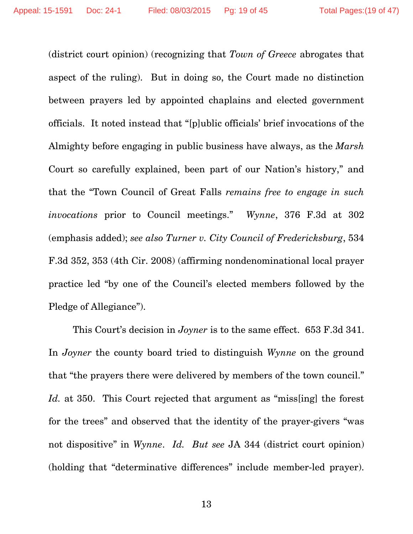(district court opinion) (recognizing that *Town of Greece* abrogates that aspect of the ruling). But in doing so, the Court made no distinction between prayers led by appointed chaplains and elected government officials. It noted instead that "[p]ublic officials' brief invocations of the Almighty before engaging in public business have always, as the *Marsh*  Court so carefully explained, been part of our Nation's history," and that the "Town Council of Great Falls *remains free to engage in such invocations* prior to Council meetings." *Wynne*, 376 F.3d at 302 (emphasis added); *see also Turner v. City Council of Fredericksburg*, 534 F.3d 352, 353 (4th Cir. 2008) (affirming nondenominational local prayer practice led "by one of the Council's elected members followed by the Pledge of Allegiance").

This Court's decision in *Joyner* is to the same effect. 653 F.3d 341. In *Joyner* the county board tried to distinguish *Wynne* on the ground that "the prayers there were delivered by members of the town council." *Id.* at 350. This Court rejected that argument as "miss[ing] the forest for the trees" and observed that the identity of the prayer-givers "was not dispositive" in *Wynne*. *Id. But see* JA 344 (district court opinion) (holding that "determinative differences" include member-led prayer).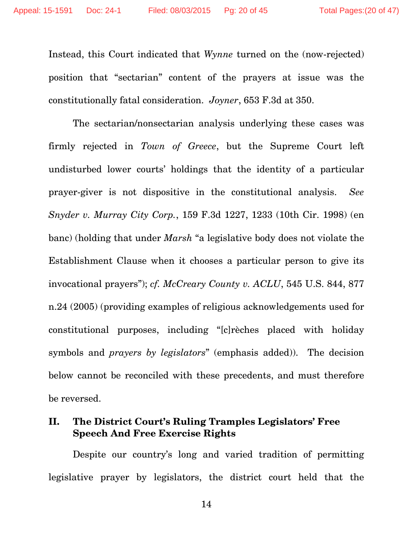Instead, this Court indicated that *Wynne* turned on the (now-rejected) position that "sectarian" content of the prayers at issue was the constitutionally fatal consideration. *Joyner*, 653 F.3d at 350.

The sectarian/nonsectarian analysis underlying these cases was firmly rejected in *Town of Greece*, but the Supreme Court left undisturbed lower courts' holdings that the identity of a particular prayer-giver is not dispositive in the constitutional analysis. *See Snyder v. Murray City Corp.*, 159 F.3d 1227, 1233 (10th Cir. 1998) (en banc) (holding that under *Marsh* "a legislative body does not violate the Establishment Clause when it chooses a particular person to give its invocational prayers"); *cf. McCreary County v. ACLU*, 545 U.S. 844, 877 n.24 (2005) (providing examples of religious acknowledgements used for constitutional purposes, including "[c]rèches placed with holiday symbols and *prayers by legislators*" (emphasis added)). The decision below cannot be reconciled with these precedents, and must therefore be reversed.

## **II. The District Court's Ruling Tramples Legislators' Free Speech And Free Exercise Rights**

Despite our country's long and varied tradition of permitting legislative prayer by legislators, the district court held that the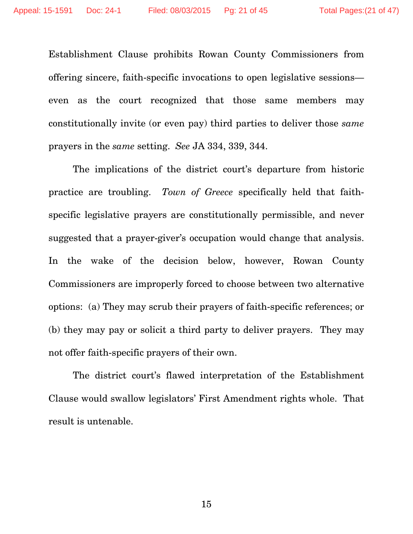Establishment Clause prohibits Rowan County Commissioners from offering sincere, faith-specific invocations to open legislative sessions even as the court recognized that those same members may constitutionally invite (or even pay) third parties to deliver those *same* prayers in the *same* setting. *See* JA 334, 339, 344.

The implications of the district court's departure from historic practice are troubling. *Town of Greece* specifically held that faithspecific legislative prayers are constitutionally permissible, and never suggested that a prayer-giver's occupation would change that analysis. In the wake of the decision below, however, Rowan County Commissioners are improperly forced to choose between two alternative options: (a) They may scrub their prayers of faith-specific references; or (b) they may pay or solicit a third party to deliver prayers. They may not offer faith-specific prayers of their own.

The district court's flawed interpretation of the Establishment Clause would swallow legislators' First Amendment rights whole. That result is untenable.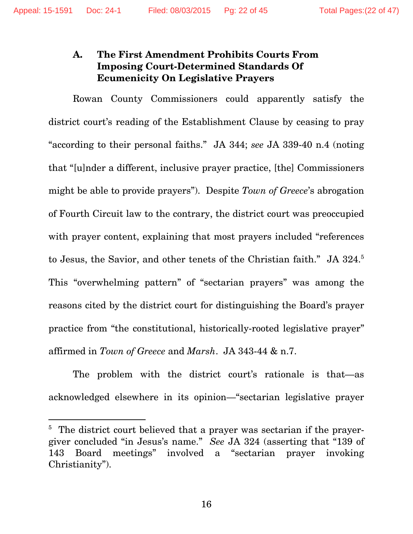## **A. The First Amendment Prohibits Courts From Imposing Court-Determined Standards Of Ecumenicity On Legislative Prayers**

Rowan County Commissioners could apparently satisfy the district court's reading of the Establishment Clause by ceasing to pray "according to their personal faiths." JA 344; *see* JA 339-40 n.4 (noting that "[u]nder a different, inclusive prayer practice, [the] Commissioners might be able to provide prayers"). Despite *Town of Greece*'s abrogation of Fourth Circuit law to the contrary, the district court was preoccupied with prayer content, explaining that most prayers included "references" to Jesus, the Savior, and other tenets of the Christian faith." JA 324.<sup>5</sup> This "overwhelming pattern" of "sectarian prayers" was among the reasons cited by the district court for distinguishing the Board's prayer practice from "the constitutional, historically-rooted legislative prayer" affirmed in *Town of Greece* and *Marsh*. JA 343-44 & n.7.

The problem with the district court's rationale is that—as acknowledged elsewhere in its opinion—"sectarian legislative prayer

 $\overline{a}$ 

<sup>&</sup>lt;sup>5</sup> The district court believed that a prayer was sectarian if the prayergiver concluded "in Jesus's name." *See* JA 324 (asserting that "139 of 143 Board meetings" involved a "sectarian prayer invoking Christianity").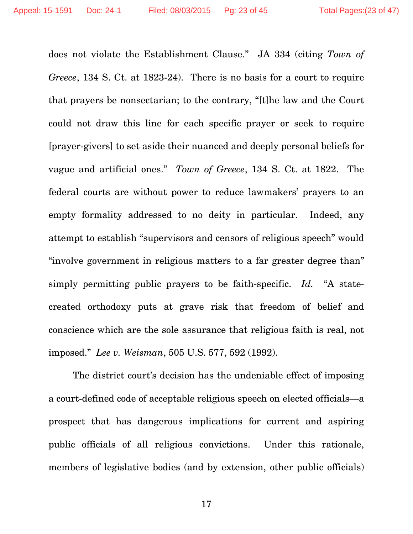does not violate the Establishment Clause." JA 334 (citing *Town of Greece*, 134 S. Ct. at 1823-24). There is no basis for a court to require that prayers be nonsectarian; to the contrary, "[t]he law and the Court could not draw this line for each specific prayer or seek to require [prayer-givers] to set aside their nuanced and deeply personal beliefs for vague and artificial ones." *Town of Greece*, 134 S. Ct. at 1822. The federal courts are without power to reduce lawmakers' prayers to an empty formality addressed to no deity in particular. Indeed, any attempt to establish "supervisors and censors of religious speech" would "involve government in religious matters to a far greater degree than" simply permitting public prayers to be faith-specific. *Id.* "A statecreated orthodoxy puts at grave risk that freedom of belief and conscience which are the sole assurance that religious faith is real, not imposed." *Lee v. Weisman*, 505 U.S. 577, 592 (1992).

The district court's decision has the undeniable effect of imposing a court-defined code of acceptable religious speech on elected officials—a prospect that has dangerous implications for current and aspiring public officials of all religious convictions. Under this rationale, members of legislative bodies (and by extension, other public officials)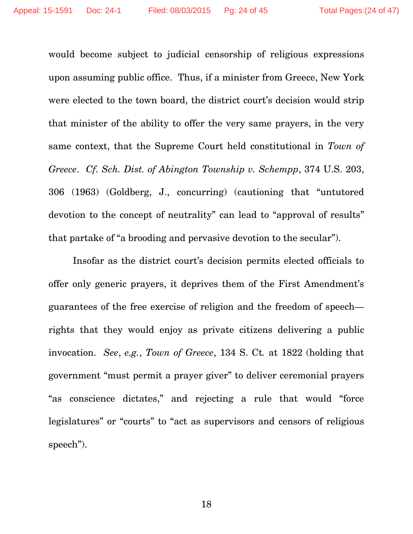would become subject to judicial censorship of religious expressions upon assuming public office. Thus, if a minister from Greece, New York were elected to the town board, the district court's decision would strip that minister of the ability to offer the very same prayers, in the very same context, that the Supreme Court held constitutional in *Town of Greece*. *Cf. Sch. Dist. of Abington Township v. Schempp*, 374 U.S. 203, 306 (1963) (Goldberg, J., concurring) (cautioning that "untutored devotion to the concept of neutrality" can lead to "approval of results" that partake of "a brooding and pervasive devotion to the secular").

Insofar as the district court's decision permits elected officials to offer only generic prayers, it deprives them of the First Amendment's guarantees of the free exercise of religion and the freedom of speech rights that they would enjoy as private citizens delivering a public invocation. *See*, *e.g.*, *Town of Greece*, 134 S. Ct*.* at 1822 (holding that government "must permit a prayer giver" to deliver ceremonial prayers "as conscience dictates," and rejecting a rule that would "force legislatures" or "courts" to "act as supervisors and censors of religious speech").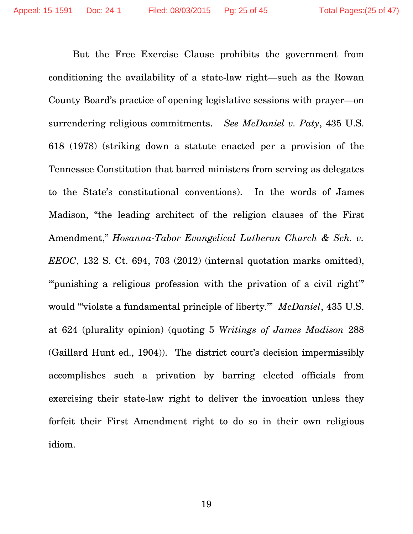But the Free Exercise Clause prohibits the government from conditioning the availability of a state-law right—such as the Rowan County Board's practice of opening legislative sessions with prayer—on surrendering religious commitments. *See McDaniel v. Paty*, 435 U.S. 618 (1978) (striking down a statute enacted per a provision of the Tennessee Constitution that barred ministers from serving as delegates to the State's constitutional conventions). In the words of James Madison, "the leading architect of the religion clauses of the First Amendment," *Hosanna-Tabor Evangelical Lutheran Church & Sch. v. EEOC*, 132 S. Ct. 694, 703 (2012) (internal quotation marks omitted), "" punishing a religious profession with the privation of a civil right" would "'violate a fundamental principle of liberty.'" *McDaniel*, 435 U.S. at 624 (plurality opinion) (quoting 5 *Writings of James Madison* 288 (Gaillard Hunt ed., 1904)). The district court's decision impermissibly accomplishes such a privation by barring elected officials from exercising their state-law right to deliver the invocation unless they forfeit their First Amendment right to do so in their own religious idiom.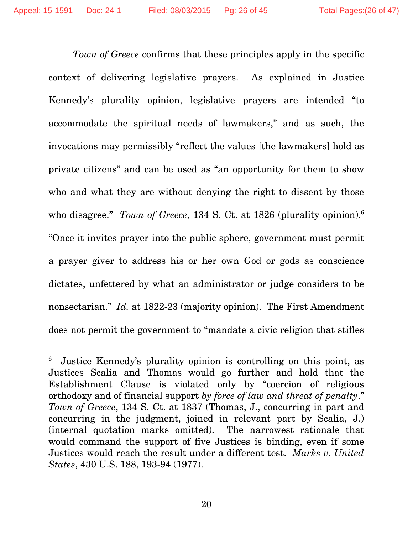$\overline{a}$ 

*Town of Greece* confirms that these principles apply in the specific context of delivering legislative prayers. As explained in Justice Kennedy's plurality opinion, legislative prayers are intended "to accommodate the spiritual needs of lawmakers," and as such, the invocations may permissibly "reflect the values [the lawmakers] hold as private citizens" and can be used as "an opportunity for them to show who and what they are without denying the right to dissent by those who disagree." *Town of Greece*, 134 S. Ct. at 1826 (plurality opinion).6 "Once it invites prayer into the public sphere, government must permit a prayer giver to address his or her own God or gods as conscience dictates, unfettered by what an administrator or judge considers to be nonsectarian." *Id.* at 1822-23 (majority opinion). The First Amendment does not permit the government to "mandate a civic religion that stifles

<sup>6</sup> Justice Kennedy's plurality opinion is controlling on this point, as Justices Scalia and Thomas would go further and hold that the Establishment Clause is violated only by "coercion of religious orthodoxy and of financial support *by force of law and threat of penalty*." *Town of Greece*, 134 S. Ct. at 1837 (Thomas, J., concurring in part and concurring in the judgment, joined in relevant part by Scalia, J.) (internal quotation marks omitted). The narrowest rationale that would command the support of five Justices is binding, even if some Justices would reach the result under a different test. *Marks v. United States*, 430 U.S. 188, 193-94 (1977).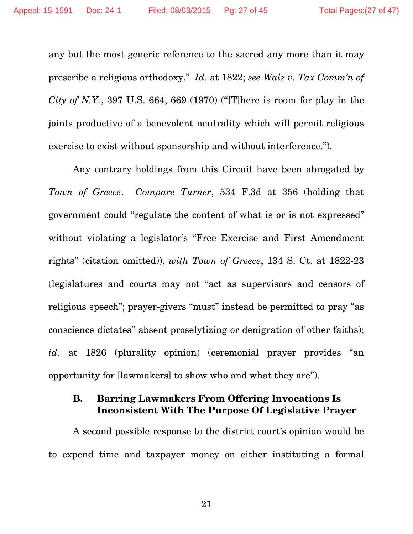any but the most generic reference to the sacred any more than it may prescribe a religious orthodoxy." *Id.* at 1822; *see Walz v. Tax Comm'n of City of N.Y.*, 397 U.S. 664, 669 (1970) ("[T]here is room for play in the joints productive of a benevolent neutrality which will permit religious exercise to exist without sponsorship and without interference.").

Any contrary holdings from this Circuit have been abrogated by *Town of Greece*. *Compare Turner*, 534 F.3d at 356 (holding that government could "regulate the content of what is or is not expressed" without violating a legislator's "Free Exercise and First Amendment rights" (citation omitted)), *with Town of Greece*, 134 S. Ct. at 1822-23 (legislatures and courts may not "act as supervisors and censors of religious speech"; prayer-givers "must" instead be permitted to pray "as conscience dictates" absent proselytizing or denigration of other faiths); id. at 1826 (plurality opinion) (ceremonial prayer provides "an opportunity for [lawmakers] to show who and what they are").

### **B. Barring Lawmakers From Offering Invocations Is Inconsistent With The Purpose Of Legislative Prayer**

A second possible response to the district court's opinion would be to expend time and taxpayer money on either instituting a formal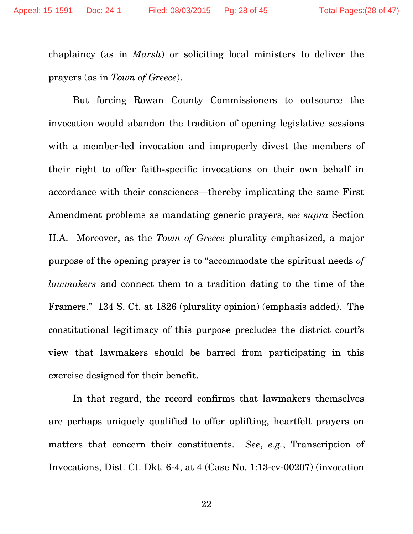chaplaincy (as in *Marsh*) or soliciting local ministers to deliver the prayers (as in *Town of Greece*).

But forcing Rowan County Commissioners to outsource the invocation would abandon the tradition of opening legislative sessions with a member-led invocation and improperly divest the members of their right to offer faith-specific invocations on their own behalf in accordance with their consciences—thereby implicating the same First Amendment problems as mandating generic prayers, *see supra* Section II.A. Moreover, as the *Town of Greece* plurality emphasized, a major purpose of the opening prayer is to "accommodate the spiritual needs *of lawmakers* and connect them to a tradition dating to the time of the Framers." 134 S. Ct. at 1826 (plurality opinion) (emphasis added). The constitutional legitimacy of this purpose precludes the district court's view that lawmakers should be barred from participating in this exercise designed for their benefit.

In that regard, the record confirms that lawmakers themselves are perhaps uniquely qualified to offer uplifting, heartfelt prayers on matters that concern their constituents. *See*, *e.g.*, Transcription of Invocations, Dist. Ct. Dkt. 6-4, at 4 (Case No. 1:13-cv-00207) (invocation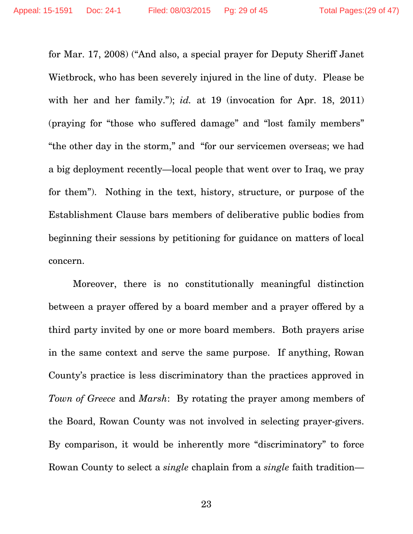for Mar. 17, 2008) ("And also, a special prayer for Deputy Sheriff Janet Wietbrock, who has been severely injured in the line of duty. Please be with her and her family."); *id.* at 19 (invocation for Apr. 18, 2011) (praying for "those who suffered damage" and "lost family members" "the other day in the storm," and "for our servicemen overseas; we had a big deployment recently—local people that went over to Iraq, we pray for them"). Nothing in the text, history, structure, or purpose of the Establishment Clause bars members of deliberative public bodies from beginning their sessions by petitioning for guidance on matters of local concern.

Moreover, there is no constitutionally meaningful distinction between a prayer offered by a board member and a prayer offered by a third party invited by one or more board members. Both prayers arise in the same context and serve the same purpose. If anything, Rowan County's practice is less discriminatory than the practices approved in *Town of Greece* and *Marsh*: By rotating the prayer among members of the Board, Rowan County was not involved in selecting prayer-givers. By comparison, it would be inherently more "discriminatory" to force Rowan County to select a *single* chaplain from a *single* faith tradition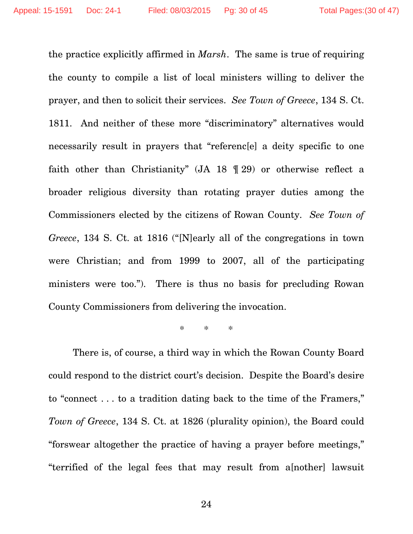the practice explicitly affirmed in *Marsh*. The same is true of requiring the county to compile a list of local ministers willing to deliver the prayer, and then to solicit their services. *See Town of Greece*, 134 S. Ct. 1811. And neither of these more "discriminatory" alternatives would necessarily result in prayers that "referenc[e] a deity specific to one faith other than Christianity" (JA 18 ¶ 29) or otherwise reflect a broader religious diversity than rotating prayer duties among the Commissioners elected by the citizens of Rowan County. *See Town of Greece*, 134 S. Ct. at 1816 ("[N]early all of the congregations in town were Christian; and from 1999 to 2007, all of the participating ministers were too."). There is thus no basis for precluding Rowan County Commissioners from delivering the invocation.

\* \* \*

There is, of course, a third way in which the Rowan County Board could respond to the district court's decision. Despite the Board's desire to "connect . . . to a tradition dating back to the time of the Framers," *Town of Greece*, 134 S. Ct. at 1826 (plurality opinion), the Board could "forswear altogether the practice of having a prayer before meetings," "terrified of the legal fees that may result from a[nother] lawsuit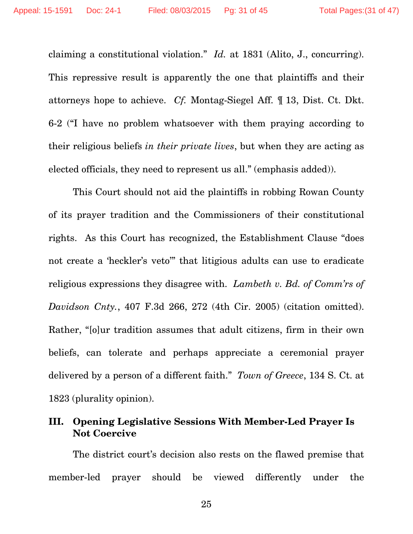claiming a constitutional violation." *Id.* at 1831 (Alito, J., concurring). This repressive result is apparently the one that plaintiffs and their attorneys hope to achieve. *Cf.* Montag-Siegel Aff. ¶ 13, Dist. Ct. Dkt. 6-2 ("I have no problem whatsoever with them praying according to their religious beliefs *in their private lives*, but when they are acting as elected officials, they need to represent us all." (emphasis added)).

This Court should not aid the plaintiffs in robbing Rowan County of its prayer tradition and the Commissioners of their constitutional rights. As this Court has recognized, the Establishment Clause "does not create a 'heckler's veto'" that litigious adults can use to eradicate religious expressions they disagree with. *Lambeth v. Bd. of Comm'rs of Davidson Cnty.*, 407 F.3d 266, 272 (4th Cir. 2005) (citation omitted). Rather, "[o]ur tradition assumes that adult citizens, firm in their own beliefs, can tolerate and perhaps appreciate a ceremonial prayer delivered by a person of a different faith." *Town of Greece*, 134 S. Ct. at 1823 (plurality opinion).

#### **III. Opening Legislative Sessions With Member-Led Prayer Is Not Coercive**

The district court's decision also rests on the flawed premise that member-led prayer should be viewed differently under the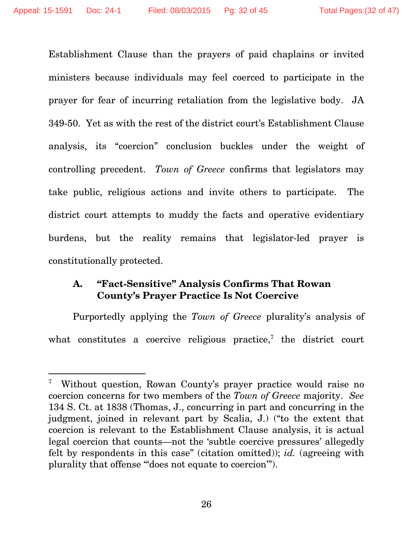$\overline{a}$ 

Establishment Clause than the prayers of paid chaplains or invited ministers because individuals may feel coerced to participate in the prayer for fear of incurring retaliation from the legislative body. JA 349-50. Yet as with the rest of the district court's Establishment Clause analysis, its "coercion" conclusion buckles under the weight of controlling precedent. *Town of Greece* confirms that legislators may take public, religious actions and invite others to participate. The district court attempts to muddy the facts and operative evidentiary burdens, but the reality remains that legislator-led prayer is constitutionally protected.

#### **A. "Fact-Sensitive" Analysis Confirms That Rowan County's Prayer Practice Is Not Coercive**

Purportedly applying the *Town of Greece* plurality's analysis of what constitutes a coercive religious practice,<sup>7</sup> the district court

<sup>7</sup> Without question, Rowan County's prayer practice would raise no coercion concerns for two members of the *Town of Greece* majority. *See*  134 S. Ct. at 1838 (Thomas, J., concurring in part and concurring in the judgment, joined in relevant part by Scalia, J.) ("to the extent that coercion is relevant to the Establishment Clause analysis, it is actual legal coercion that counts—not the 'subtle coercive pressures' allegedly felt by respondents in this case" (citation omitted)); *id.* (agreeing with plurality that offense "'does not equate to coercion'").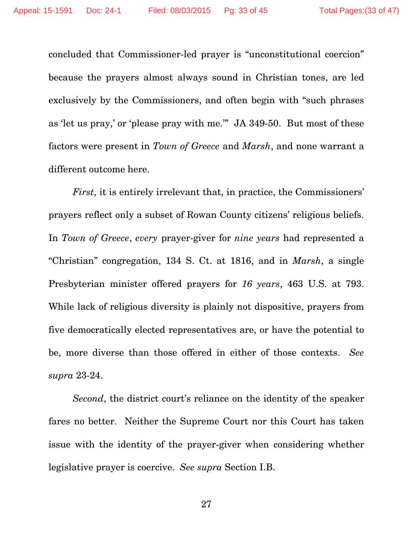concluded that Commissioner-led prayer is "unconstitutional coercion" because the prayers almost always sound in Christian tones, are led exclusively by the Commissioners, and often begin with "such phrases as 'let us pray,' or 'please pray with me.'" JA 349-50. But most of these factors were present in *Town of Greece* and *Marsh*, and none warrant a different outcome here.

*First*, it is entirely irrelevant that, in practice, the Commissioners' prayers reflect only a subset of Rowan County citizens' religious beliefs. In *Town of Greece*, *every* prayer-giver for *nine years* had represented a "Christian" congregation, 134 S. Ct. at 1816, and in *Marsh*, a single Presbyterian minister offered prayers for *16 years*, 463 U.S. at 793. While lack of religious diversity is plainly not dispositive, prayers from five democratically elected representatives are, or have the potential to be, more diverse than those offered in either of those contexts. *See supra* 23-24.

*Second*, the district court's reliance on the identity of the speaker fares no better. Neither the Supreme Court nor this Court has taken issue with the identity of the prayer-giver when considering whether legislative prayer is coercive. *See supra* Section I.B.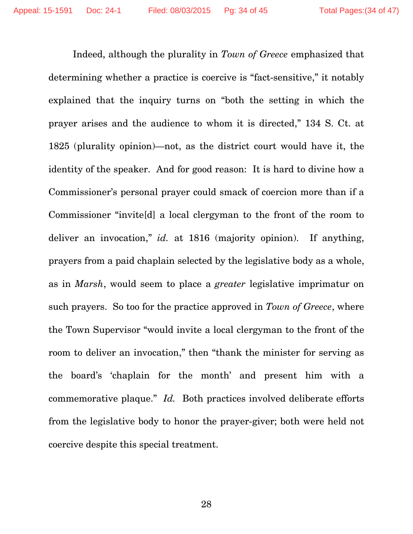Indeed, although the plurality in *Town of Greece* emphasized that determining whether a practice is coercive is "fact-sensitive," it notably explained that the inquiry turns on "both the setting in which the prayer arises and the audience to whom it is directed," 134 S. Ct. at 1825 (plurality opinion)—not, as the district court would have it, the identity of the speaker. And for good reason: It is hard to divine how a Commissioner's personal prayer could smack of coercion more than if a Commissioner "invite[d] a local clergyman to the front of the room to deliver an invocation," *id.* at 1816 (majority opinion). If anything, prayers from a paid chaplain selected by the legislative body as a whole, as in *Marsh*, would seem to place a *greater* legislative imprimatur on such prayers. So too for the practice approved in *Town of Greece*, where the Town Supervisor "would invite a local clergyman to the front of the room to deliver an invocation," then "thank the minister for serving as the board's 'chaplain for the month' and present him with a commemorative plaque." *Id.* Both practices involved deliberate efforts from the legislative body to honor the prayer-giver; both were held not coercive despite this special treatment.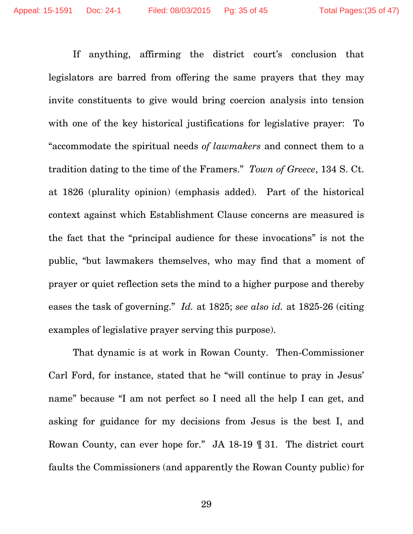If anything, affirming the district court's conclusion that legislators are barred from offering the same prayers that they may invite constituents to give would bring coercion analysis into tension with one of the key historical justifications for legislative prayer: To "accommodate the spiritual needs *of lawmakers* and connect them to a tradition dating to the time of the Framers." *Town of Greece*, 134 S. Ct. at 1826 (plurality opinion) (emphasis added). Part of the historical context against which Establishment Clause concerns are measured is the fact that the "principal audience for these invocations" is not the public, "but lawmakers themselves, who may find that a moment of prayer or quiet reflection sets the mind to a higher purpose and thereby eases the task of governing." *Id.* at 1825; *see also id.* at 1825-26 (citing examples of legislative prayer serving this purpose).

That dynamic is at work in Rowan County. Then-Commissioner Carl Ford, for instance, stated that he "will continue to pray in Jesus' name" because "I am not perfect so I need all the help I can get, and asking for guidance for my decisions from Jesus is the best I, and Rowan County, can ever hope for." JA 18-19 ¶ 31. The district court faults the Commissioners (and apparently the Rowan County public) for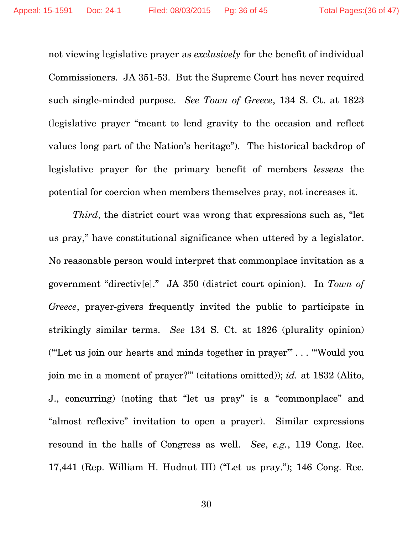not viewing legislative prayer as *exclusively* for the benefit of individual Commissioners. JA 351-53. But the Supreme Court has never required such single-minded purpose. *See Town of Greece*, 134 S. Ct. at 1823 (legislative prayer "meant to lend gravity to the occasion and reflect values long part of the Nation's heritage"). The historical backdrop of legislative prayer for the primary benefit of members *lessens* the potential for coercion when members themselves pray, not increases it.

*Third*, the district court was wrong that expressions such as, "let us pray," have constitutional significance when uttered by a legislator. No reasonable person would interpret that commonplace invitation as a government "directiv[e]." JA 350 (district court opinion). In *Town of Greece*, prayer-givers frequently invited the public to participate in strikingly similar terms. *See* 134 S. Ct. at 1826 (plurality opinion) ("'Let us join our hearts and minds together in prayer'" . . . "'Would you join me in a moment of prayer?'" (citations omitted)); *id.* at 1832 (Alito, J., concurring) (noting that "let us pray" is a "commonplace" and "almost reflexive" invitation to open a prayer). Similar expressions resound in the halls of Congress as well. *See*, *e.g.*, 119 Cong. Rec. 17,441 (Rep. William H. Hudnut III) ("Let us pray."); 146 Cong. Rec.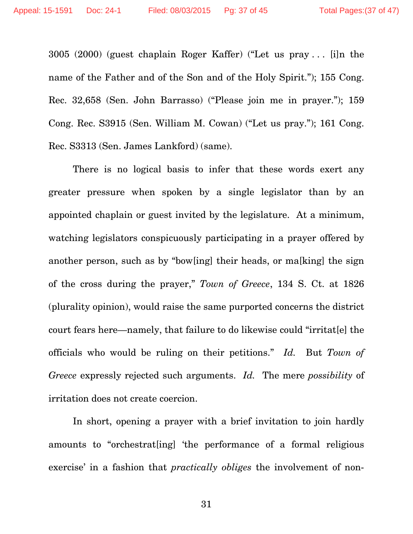3005 (2000) (guest chaplain Roger Kaffer) ("Let us pray . . . [i]n the name of the Father and of the Son and of the Holy Spirit."); 155 Cong. Rec. 32,658 (Sen. John Barrasso) ("Please join me in prayer."); 159 Cong. Rec. S3915 (Sen. William M. Cowan) ("Let us pray."); 161 Cong. Rec. S3313 (Sen. James Lankford) (same).

There is no logical basis to infer that these words exert any greater pressure when spoken by a single legislator than by an appointed chaplain or guest invited by the legislature. At a minimum, watching legislators conspicuously participating in a prayer offered by another person, such as by "bow[ing] their heads, or ma[king] the sign of the cross during the prayer," *Town of Greece*, 134 S. Ct. at 1826 (plurality opinion), would raise the same purported concerns the district court fears here—namely, that failure to do likewise could "irritat[e] the officials who would be ruling on their petitions." *Id.* But *Town of Greece* expressly rejected such arguments. *Id.* The mere *possibility* of irritation does not create coercion.

In short, opening a prayer with a brief invitation to join hardly amounts to "orchestrat[ing] 'the performance of a formal religious exercise' in a fashion that *practically obliges* the involvement of non-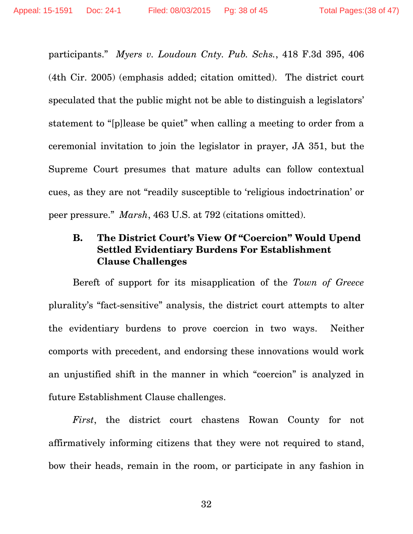participants." *Myers v. Loudoun Cnty. Pub. Schs.*, 418 F.3d 395, 406 (4th Cir. 2005) (emphasis added; citation omitted). The district court speculated that the public might not be able to distinguish a legislators' statement to "[p]lease be quiet" when calling a meeting to order from a ceremonial invitation to join the legislator in prayer, JA 351, but the Supreme Court presumes that mature adults can follow contextual cues, as they are not "readily susceptible to 'religious indoctrination' or peer pressure." *Marsh*, 463 U.S. at 792 (citations omitted).

## **B. The District Court's View Of "Coercion" Would Upend Settled Evidentiary Burdens For Establishment Clause Challenges**

Bereft of support for its misapplication of the *Town of Greece* plurality's "fact-sensitive" analysis, the district court attempts to alter the evidentiary burdens to prove coercion in two ways. Neither comports with precedent, and endorsing these innovations would work an unjustified shift in the manner in which "coercion" is analyzed in future Establishment Clause challenges.

*First*, the district court chastens Rowan County for not affirmatively informing citizens that they were not required to stand, bow their heads, remain in the room, or participate in any fashion in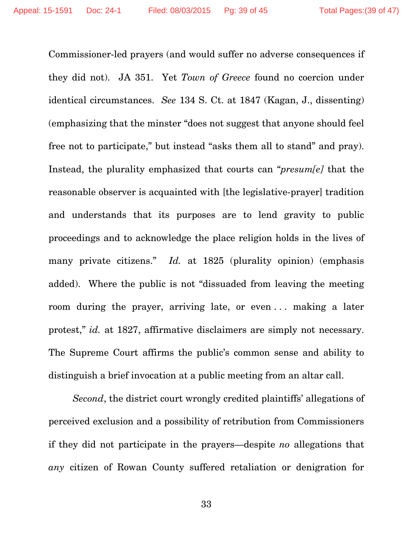Commissioner-led prayers (and would suffer no adverse consequences if they did not). JA 351. Yet *Town of Greece* found no coercion under identical circumstances. *See* 134 S. Ct. at 1847 (Kagan, J., dissenting) (emphasizing that the minster "does not suggest that anyone should feel free not to participate," but instead "asks them all to stand" and pray). Instead, the plurality emphasized that courts can "*presum[e]* that the reasonable observer is acquainted with [the legislative-prayer] tradition and understands that its purposes are to lend gravity to public proceedings and to acknowledge the place religion holds in the lives of many private citizens." *Id.* at 1825 (plurality opinion) (emphasis added). Where the public is not "dissuaded from leaving the meeting room during the prayer, arriving late, or even . . . making a later protest," *id.* at 1827, affirmative disclaimers are simply not necessary. The Supreme Court affirms the public's common sense and ability to distinguish a brief invocation at a public meeting from an altar call.

*Second*, the district court wrongly credited plaintiffs' allegations of perceived exclusion and a possibility of retribution from Commissioners if they did not participate in the prayers—despite *no* allegations that *any* citizen of Rowan County suffered retaliation or denigration for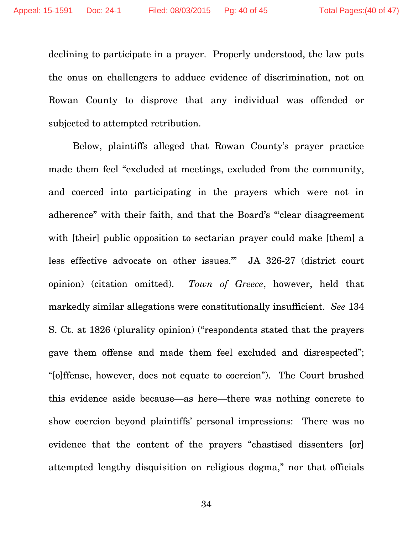declining to participate in a prayer. Properly understood, the law puts the onus on challengers to adduce evidence of discrimination, not on Rowan County to disprove that any individual was offended or subjected to attempted retribution.

Below, plaintiffs alleged that Rowan County's prayer practice made them feel "excluded at meetings, excluded from the community, and coerced into participating in the prayers which were not in adherence" with their faith, and that the Board's "'clear disagreement with [their] public opposition to sectarian prayer could make [them] a less effective advocate on other issues.'" JA 326-27 (district court opinion) (citation omitted). *Town of Greece*, however, held that markedly similar allegations were constitutionally insufficient. *See* 134 S. Ct. at 1826 (plurality opinion) ("respondents stated that the prayers gave them offense and made them feel excluded and disrespected"; "[o]ffense, however, does not equate to coercion"). The Court brushed this evidence aside because—as here—there was nothing concrete to show coercion beyond plaintiffs' personal impressions: There was no evidence that the content of the prayers "chastised dissenters [or] attempted lengthy disquisition on religious dogma," nor that officials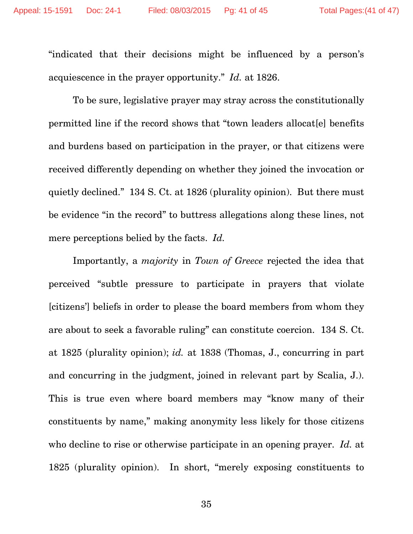"indicated that their decisions might be influenced by a person's acquiescence in the prayer opportunity." *Id.* at 1826.

To be sure, legislative prayer may stray across the constitutionally permitted line if the record shows that "town leaders allocat[e] benefits and burdens based on participation in the prayer, or that citizens were received differently depending on whether they joined the invocation or quietly declined." 134 S. Ct. at 1826 (plurality opinion). But there must be evidence "in the record" to buttress allegations along these lines, not mere perceptions belied by the facts. *Id.* 

Importantly, a *majority* in *Town of Greece* rejected the idea that perceived "subtle pressure to participate in prayers that violate [citizens'] beliefs in order to please the board members from whom they are about to seek a favorable ruling" can constitute coercion. 134 S. Ct. at 1825 (plurality opinion); *id.* at 1838 (Thomas, J., concurring in part and concurring in the judgment, joined in relevant part by Scalia, J.). This is true even where board members may "know many of their constituents by name," making anonymity less likely for those citizens who decline to rise or otherwise participate in an opening prayer. *Id.* at 1825 (plurality opinion). In short, "merely exposing constituents to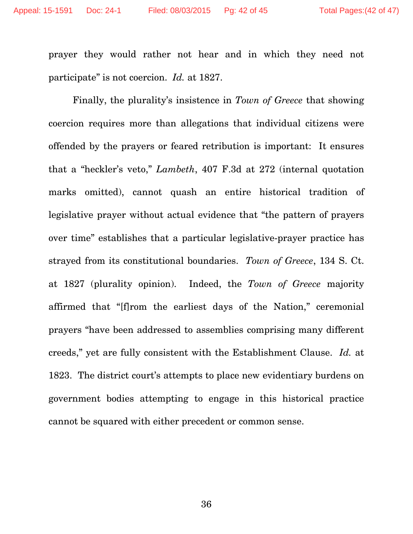prayer they would rather not hear and in which they need not participate" is not coercion. *Id.* at 1827.

Finally, the plurality's insistence in *Town of Greece* that showing coercion requires more than allegations that individual citizens were offended by the prayers or feared retribution is important: It ensures that a "heckler's veto," *Lambeth*, 407 F.3d at 272 (internal quotation marks omitted), cannot quash an entire historical tradition of legislative prayer without actual evidence that "the pattern of prayers over time" establishes that a particular legislative-prayer practice has strayed from its constitutional boundaries. *Town of Greece*, 134 S. Ct. at 1827 (plurality opinion). Indeed, the *Town of Greece* majority affirmed that "[f]rom the earliest days of the Nation," ceremonial prayers "have been addressed to assemblies comprising many different creeds," yet are fully consistent with the Establishment Clause. *Id.* at 1823. The district court's attempts to place new evidentiary burdens on government bodies attempting to engage in this historical practice cannot be squared with either precedent or common sense.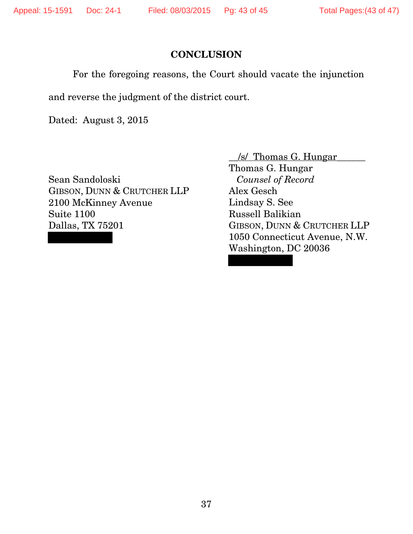#### **CONCLUSION**

For the foregoing reasons, the Court should vacate the injunction

and reverse the judgment of the district court.

Dated: August 3, 2015

Sean Sandoloski GIBSON, DUNN & CRUTCHER LLP 2100 McKinney Avenue Suite 1100 Dallas, TX 75201

\_\_/s/ Thomas G. Hungar\_\_\_\_\_\_ Thomas G. Hungar *Counsel of Record* Alex Gesch Lindsay S. See Russell Balikian GIBSON, DUNN & CRUTCHER LLP 1050 Connecticut Avenue, N.W. Washington, DC 20036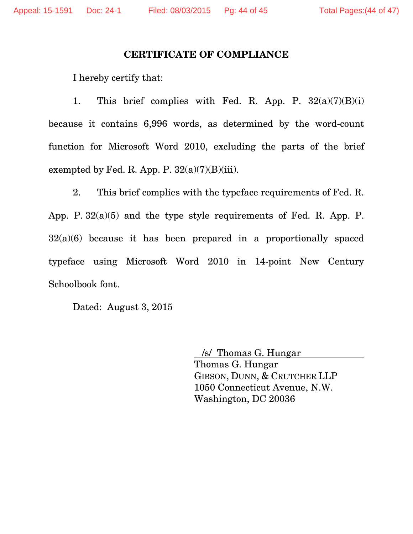#### **CERTIFICATE OF COMPLIANCE**

I hereby certify that:

1. This brief complies with Fed. R. App. P.  $32(a)(7)(B)(i)$ because it contains 6,996 words, as determined by the word-count function for Microsoft Word 2010, excluding the parts of the brief exempted by Fed. R. App. P.  $32(a)(7)(B)(iii)$ .

 2. This brief complies with the typeface requirements of Fed. R. App. P. 32(a)(5) and the type style requirements of Fed. R. App. P.  $32(a)(6)$  because it has been prepared in a proportionally spaced typeface using Microsoft Word 2010 in 14-point New Century Schoolbook font.

Dated: August 3, 2015

 /s/ Thomas G. Hungar Thomas G. Hungar GIBSON, DUNN, & CRUTCHER LLP 1050 Connecticut Avenue, N.W. Washington, DC 20036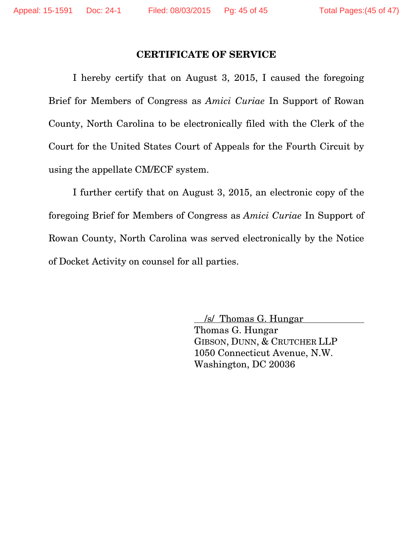#### **CERTIFICATE OF SERVICE**

I hereby certify that on August 3, 2015, I caused the foregoing Brief for Members of Congress as *Amici Curiae* In Support of Rowan County, North Carolina to be electronically filed with the Clerk of the Court for the United States Court of Appeals for the Fourth Circuit by using the appellate CM/ECF system.

I further certify that on August 3, 2015, an electronic copy of the foregoing Brief for Members of Congress as *Amici Curiae* In Support of Rowan County, North Carolina was served electronically by the Notice of Docket Activity on counsel for all parties.

> /s/ Thomas G. Hungar Thomas G. Hungar GIBSON, DUNN, & CRUTCHER LLP 1050 Connecticut Avenue, N.W. Washington, DC 20036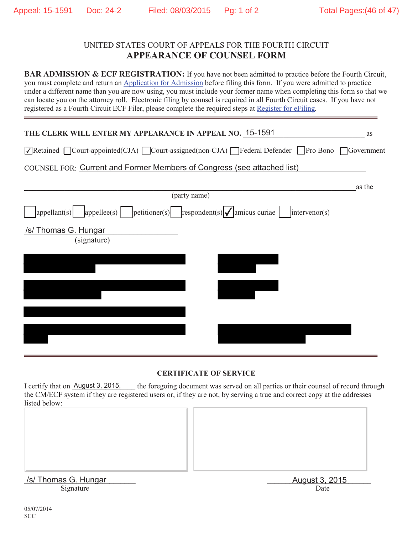#### UNITED STATES COURT OF APPEALS FOR THE FOURTH CIRCUIT **APPEARANCE OF COUNSEL FORM**

**BAR ADMISSION & ECF REGISTRATION:** If you have not been admitted to practice before the Fourth Circuit, you must complete and return an Application for Admission before filing this form. If you were admitted to practice under a different name than you are now using, you must include your former name when completing this form so that we can locate you on the attorney roll. Electronic filing by counsel is required in all Fourth Circuit cases. If you have not registered as a Fourth Circuit ECF Filer, please complete the required steps at Register for eFiling.

| THE CLERK WILL ENTER MY APPEARANCE IN APPEAL NO. 15-1591                                                                    | as     |
|-----------------------------------------------------------------------------------------------------------------------------|--------|
| √Retained ©Court-appointed(CJA) ©Court-assigned(non-CJA) Federal Defender Pro Bono Government                               |        |
| COUNSEL FOR: Current and Former Members of Congress (see attached list)                                                     |        |
|                                                                                                                             | as the |
| (party name)                                                                                                                |        |
| $\vert$ appellant(s) $\vert$ appellee(s) $\vert$ petitioner(s) respondent(s) $\vert \psi \vert$ amicus curiae intervenor(s) |        |
| /s/ Thomas G. Hungar                                                                                                        |        |
| (signature)                                                                                                                 |        |
|                                                                                                                             |        |
|                                                                                                                             |        |
|                                                                                                                             |        |
|                                                                                                                             |        |
|                                                                                                                             |        |
|                                                                                                                             |        |
|                                                                                                                             |        |

#### **CERTIFICATE OF SERVICE**

the foregoing document was served on all parties or their counsel of record through the CM/ECF system if they are registered users or, if they are not, by serving a true and correct copy at the addresses listed below: I certify that on August 3, 2015,

| /s/ Thomas G. Hungar<br>Signature | August 3, 2015 |
|-----------------------------------|----------------|